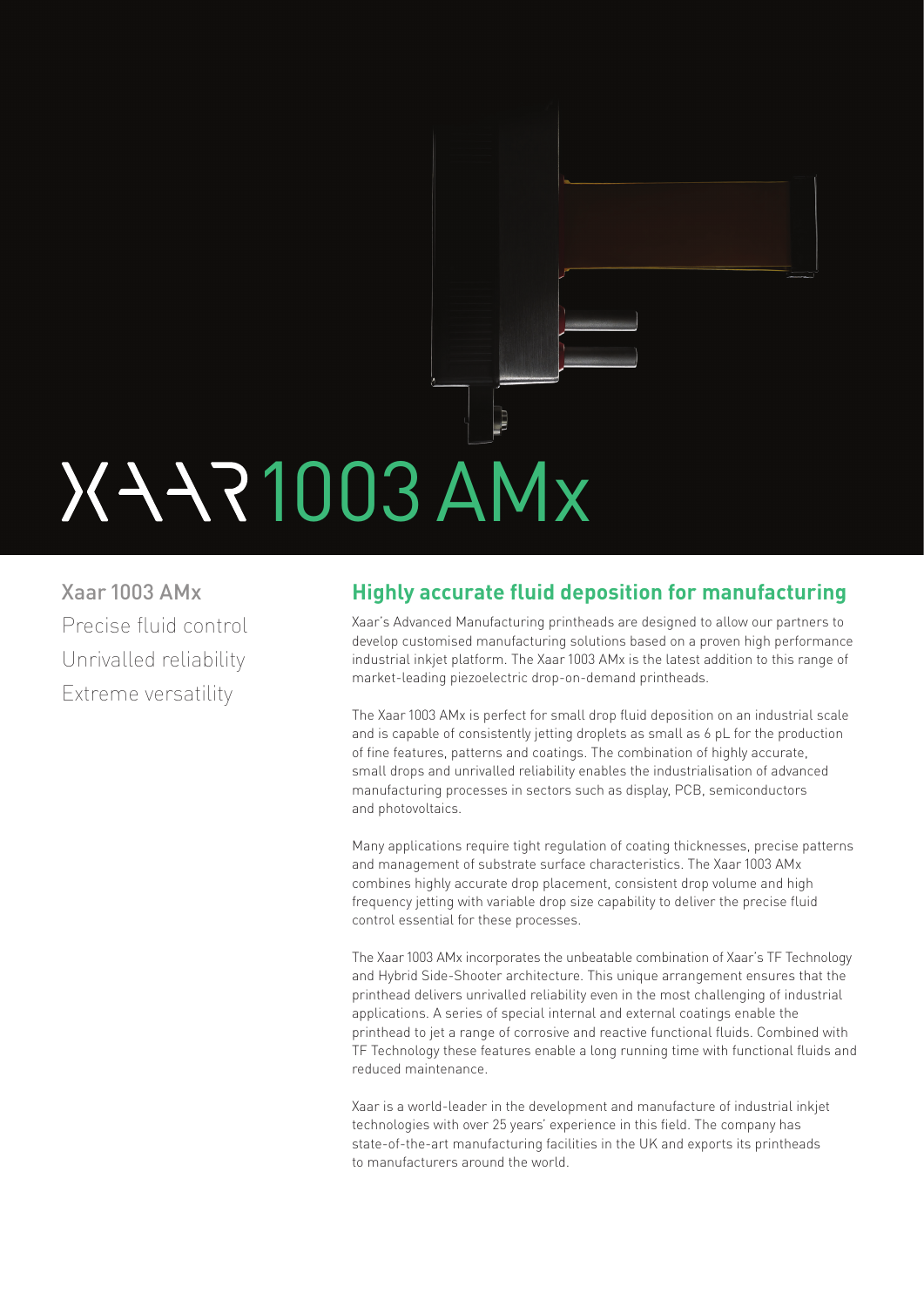# J 1003 AMx

Xaar 1003 AMx Precise fluid control Unrivalled reliability Extreme versatility

# **Highly accurate fluid deposition for manufacturing**

Xaar's Advanced Manufacturing printheads are designed to allow our partners to develop customised manufacturing solutions based on a proven high performance industrial inkjet platform. The Xaar 1003 AMx is the latest addition to this range of market-leading piezoelectric drop-on-demand printheads.

The Xaar 1003 AMx is perfect for small drop fluid deposition on an industrial scale and is capable of consistently jetting droplets as small as 6 pL for the production of fine features, patterns and coatings. The combination of highly accurate, small drops and unrivalled reliability enables the industrialisation of advanced manufacturing processes in sectors such as display, PCB, semiconductors and photovoltaics.

Many applications require tight regulation of coating thicknesses, precise patterns and management of substrate surface characteristics. The Xaar 1003 AMx combines highly accurate drop placement, consistent drop volume and high frequency jetting with variable drop size capability to deliver the precise fluid control essential for these processes.

The Xaar 1003 AMx incorporates the unbeatable combination of Xaar's TF Technology and Hybrid Side-Shooter architecture. This unique arrangement ensures that the printhead delivers unrivalled reliability even in the most challenging of industrial applications. A series of special internal and external coatings enable the printhead to jet a range of corrosive and reactive functional fluids. Combined with TF Technology these features enable a long running time with functional fluids and reduced maintenance.

Xaar is a world-leader in the development and manufacture of industrial inkjet technologies with over 25 years' experience in this field. The company has state-of-the-art manufacturing facilities in the UK and exports its printheads to manufacturers around the world.